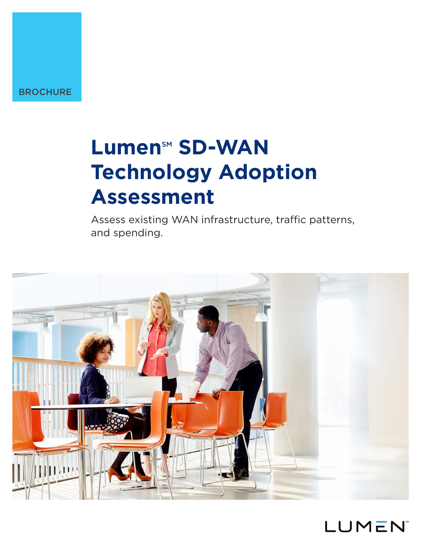# Lumen<sup>sM</sup> SD-WAN **Technology Adoption Assessment**

Assess existing WAN infrastructure, traffic patterns, and spending.



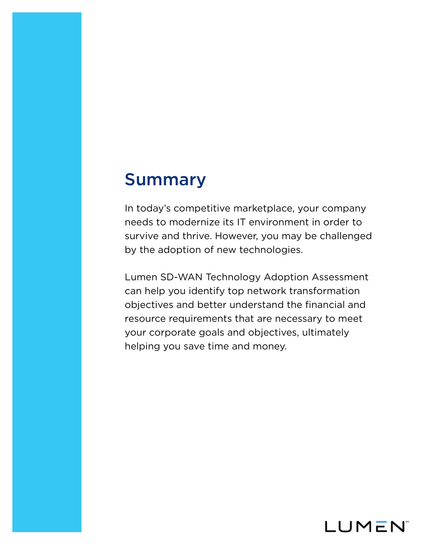### Summary

In today's competitive marketplace, your company needs to modernize its IT environment in order to survive and thrive. However, you may be challenged by the adoption of new technologies.

Lumen SD-WAN Technology Adoption Assessment can help you identify top network transformation objectives and better understand the financial and resource requirements that are necessary to meet your corporate goals and objectives, ultimately helping you save time and money.

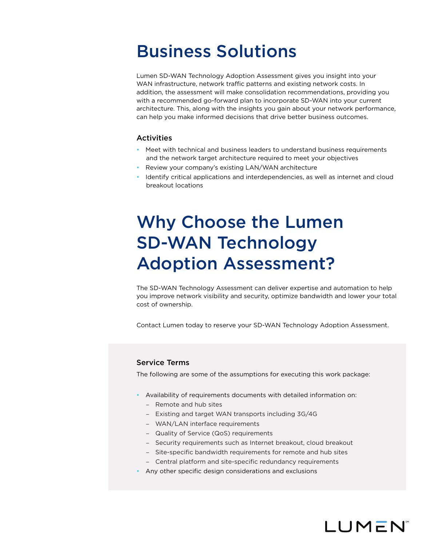### Business Solutions

Lumen SD-WAN Technology Adoption Assessment gives you insight into your WAN infrastructure, network traffic patterns and existing network costs. In addition, the assessment will make consolidation recommendations, providing you with a recommended go-forward plan to incorporate SD-WAN into your current architecture. This, along with the insights you gain about your network performance, can help you make informed decisions that drive better business outcomes.

### **Activities**

- Meet with technical and business leaders to understand business requirements and the network target architecture required to meet your objectives
- Review your company's existing LAN/WAN architecture
- Identify critical applications and interdependencies, as well as internet and cloud breakout locations

## Why Choose the Lumen SD-WAN Technology Adoption Assessment?

The SD-WAN Technology Assessment can deliver expertise and automation to help you improve network visibility and security, optimize bandwidth and lower your total cost of ownership.

Contact Lumen today to reserve your SD-WAN Technology Adoption Assessment.

#### Service Terms

The following are some of the assumptions for executing this work package:

- Availability of requirements documents with detailed information on:
	- Remote and hub sites
	- Existing and target WAN transports including 3G/4G
	- WAN/LAN interface requirements
	- Quality of Service (QoS) requirements
	- Security requirements such as Internet breakout, cloud breakout

LUMEN

- Site-specific bandwidth requirements for remote and hub sites
- Central platform and site-specific redundancy requirements
- Any other specific design considerations and exclusions